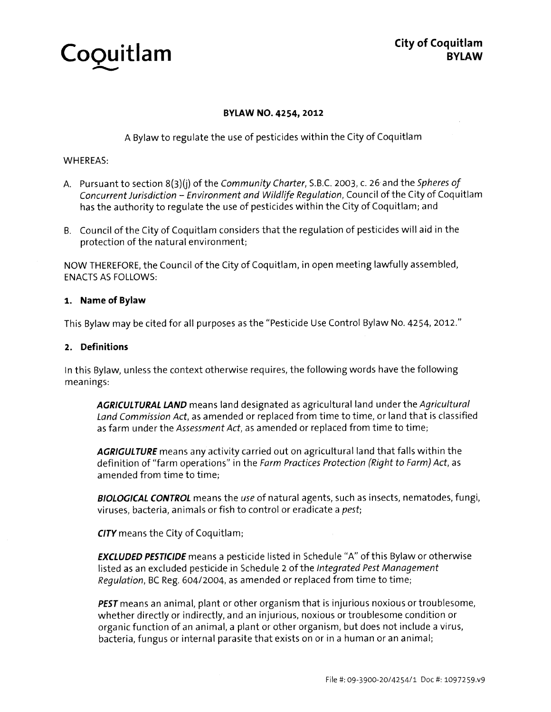

# BYLAW NO. 4254, 2012

<sup>A</sup> Bylaw to regulate the use of pesticides within the City of Coquitlam

# WHEREAS:

- A. Pursuant to section 8(3)(j) of the Community Charter, S.B.C. 2003, c. 26 and the Spheres of Concurrent Jurisdiction – Environment and Wildlife Regulation, Council of the City of Coquitlam has the authority to regulate the use of pesticides within the City of Coquitlam; and
- B. Council of the City of Coquitlam considers that the regulation of pesticides will aid in the protection of the natural environment;

NOW THEREFORE, the Council of the City of Coquitlam, in open meeting lawfully assembled, ENACTS AS FOLLOWS:

# 1. Name of Bylaw

This Bylaw may be cited for all purposes as the "Pesticide Use Control Bylaw No. 4254, 2012."

# 2. Definitions

In this Bylaw, unless the context otherwise requires, the following words have the following meanings:

AGRICULTURAL LAND means land designated as agricultural land under the Agricultural Land Commission Act, as amended or replaced from time to time, or land that is classified as farm under the Assessment Act, as amended or replaced from time to time;

AGRIGULTURE means any activity carried out on agricultural land that falls within the definition of "farm operations" in the Farm Practices Protection (Right to Farm) Act, as amended from time to time:

**BIOLOGICAL CONTROL** means the use of natural agents, such as insects, nematodes, fungi, viruses, bacteria, animals or fish to control or eradicate a pest;

CITY means the City of Coquitlam;

**EXCLUDED PESTICIDE** means a pesticide listed in Schedule "A" of this Bylaw or otherwise listed as an excluded pesticide in Schedule 2 of the Integrated Pest Management Regulation, BC Reg. 604/2004, as amended or replaced from time to time;

**PEST** means an animal, plant or other organism that is injurious noxious or troublesome, whether directly or indirectly, and an injurious, noxious or troublesome condition or organic function of an animal, a plant or other organism, but does not include a virus, bacteria, fungus or internal parasite that exists on or in <sup>a</sup> human or an animal;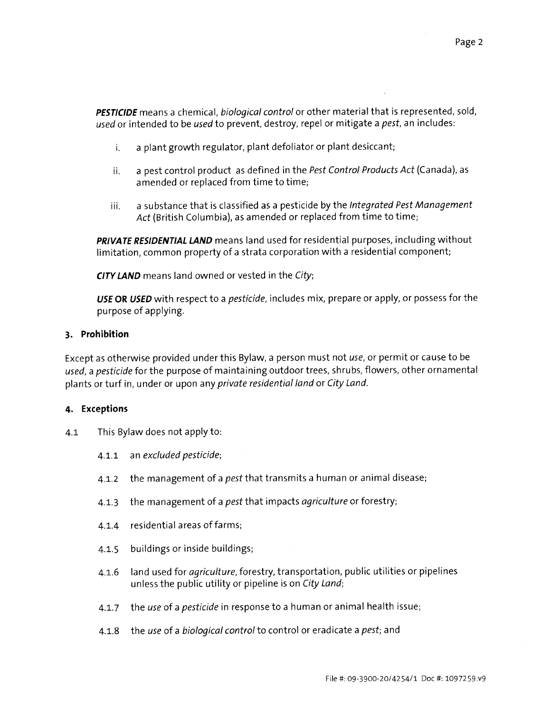**PESTICIDE** means a chemical, biological control or other material that is represented, sold, used or intended to be used to prevent, destroy, repel or mitigate a *pest*, an includes:

- i. a plant growth regulator, plant defoliator or plant desiccant;
- ii. <sup>a</sup> pest control product as defined in the Pest Control Products Act (Canada), as amended or replaced from time to time;
- iii. a substance that is classified as a pesticide by the Integrated Pest Management Act (British Columbia), as amended or replaced from time to time;

PRIVATE RESIDENTIAL LAND means land used for residential purposes, including without limitation, common property of <sup>a</sup> strata corporation with a residential component;

**CITY LAND** means land owned or vested in the City;

USE OR USED with respect to a *pesticide*, includes mix, prepare or apply, or possess for the purpose of applying.

# 3. Prohibition

Except as otherwise provided under this Bylaw, a person must not use, or permit or cause to be used, <sup>a</sup> pesticide for the purpose of maintaining outdoor trees, shrubs, flowers, other ornamental plants or turf in, under or upon any private residential land or City Land.

# 4. Exceptions

- 4.1 This Bylaw does not apply to:
	- 4.1.1 an excluded pesticide;
	- 4.1.2 the management of a *pest* that transmits a human or animal disease;
	- 4.1.3 the management of a *pest* that impacts *agriculture* or forestry;
	- 4.1.4 residential areas of farms;
	- 4.1.5 buildings or inside buildings;
	- 4.1.6 land used for *agriculture*, forestry, transportation, public utilities or pipelines unless the public utility or pipeline is on City Land;
	- 4.1.7 the use of a *pesticide* in response to a human or animal health issue;
	- 4.1.8 the use of a biological control to control or eradicate a pest; and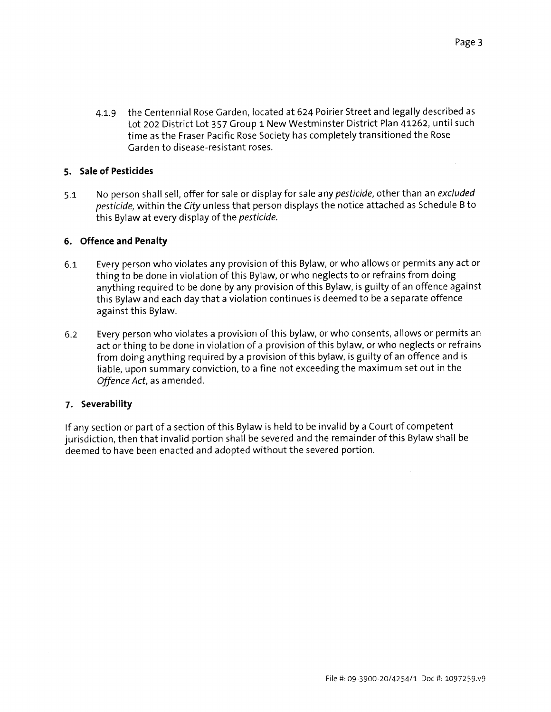4.1.9 the Centennial Rose Garden, located at 624 Poirier Street and legally described as Lot 202 District Lot 357 Group <sup>1</sup> New Westminster District Plan 41262, until such time as the Fraser Pacific Rose Society has completely transitioned the Rose Garden to disease-resistant roses.

# 5. Sale of Pesticides

5.1 No person shall sell, offer for sale or display for sale any pesticide, other than an excluded pesticide, within the City unless that person displays the notice attached as Schedule <sup>B</sup> to this Bylaw at every display of the pesticide.

# 6. Offence and Penalty

- 6.1 Every person who violates any provision of this Bylaw, or who allows or permits any act or thing to be done in violation of this Bylaw, or who neglects to or refrains from doing anything required to be done by any provision of this Bylaw, is guilty of an offence against this Bylaw and each day that <sup>a</sup> violation continues is deemed to be a separate offence against this Bylaw.
- 6.2 Every person who violates <sup>a</sup> provision of this bylaw, or who consents, allows or permits an act or thing to be done in violation of <sup>a</sup> provision of this bylaw, or who neglects or refrains from doing anything required by a provision of this bylaw, is guilty of an offence and is liable, upon summary conviction, to a fine not exceeding the maximum set out in the Offence Act, as amended.

# 7. Severability

If any section or part of <sup>a</sup> section of this Bylaw is held to be invalid by <sup>a</sup> Court of competent jurisdiction, then that invalid portion shall be severed and the remainder of this Bylaw shall be deemed to have been enacted and adopted without the severed portion.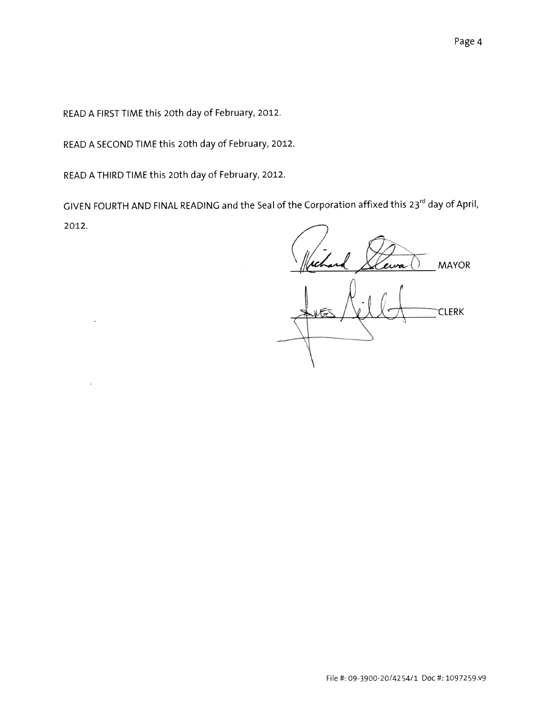READ <sup>A</sup> FIRST TIME this 20th day of February, 2012.

READ <sup>A</sup> SECOND TIME this 20th day of February, 2012.

READ <sup>A</sup> THIRD TIME this 20th day of February, 2012.

GIVEN FOURTH AND FINAL READING and the Seal of the Corporation affixed this 23<sup>rd</sup> day of April, 2012.

MAYOR

Mechand & **CLERK**  $\setminus$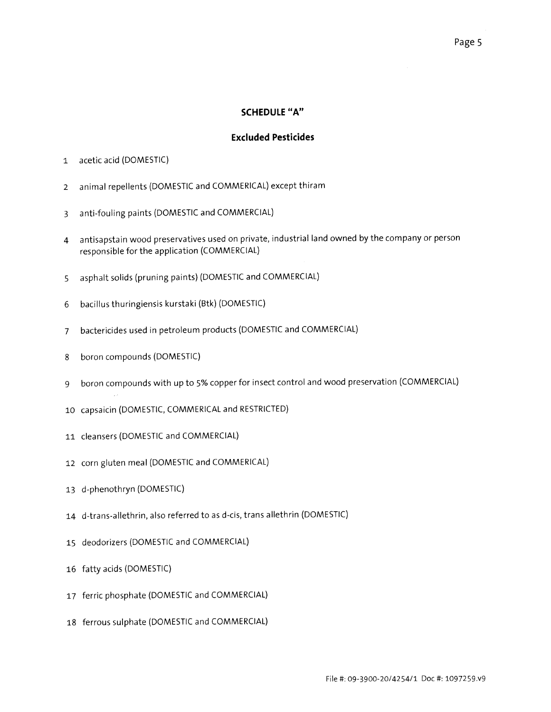#### SCHEDULE "A"

# Excluded Pesticides

- acetic acid (DOMESTIC)
- animal repellents (DOMESTIC and COMMERICAL) except thiram
- anti-fouling paints (DOMESTIC and COMMERCIAL)
- antisapstain wood preservatives used on private, industrial land owned by the company or person responsible for the application (COMMERCIAL)
- asphalt solids (pruning paints) (DOMESTIC and COMMERCIAL)
- bacillus thuringiensis kurstaki (Btk) (DOMESTIC)
- bactericides used in petroleum products (DOMESTIC and COMMERCIAL)
- boron compounds (DOMESTIC)
- boron compounds with up to 5% copper for insect control and wood preservation (COMMERCIAL)
- capsaicin (DOMESTIC, COMMERICAL and RESTRICTED)
- cleansers (DOMESTIC and COMMERCIAL)
- corn gluten meal (DOMESTIC and COMMERICAL)
- d-phenothryn (DOMESTIC)
- d-trans-allethrin, also referred to as d-cis, trans allethrin (DOMESTIC)
- deodorizers (DOMESTIC and COMMERCIAL)
- fatty acids (DOMESTIC)
- ferric phosphate (DOMESTIC and COMMERCIAL)
- ferrous sulphate (DOMESTIC and COMMERCIAL)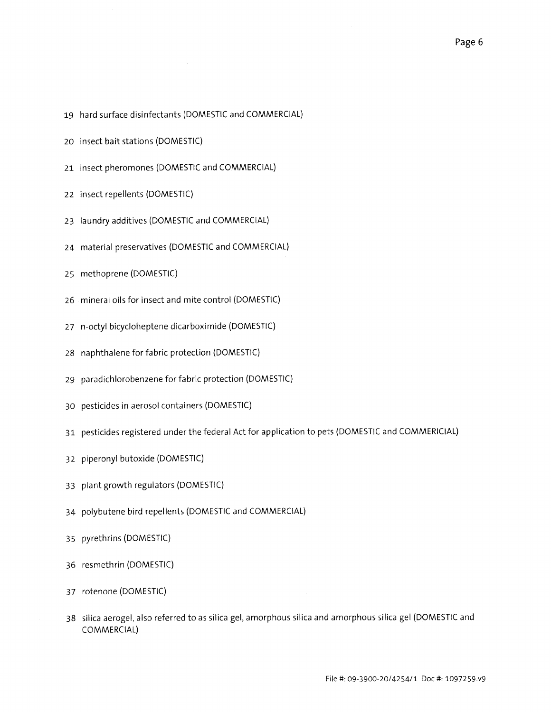- hard surface disinfectants (DOMESTIC and COMMERCIAL)
- insect bait stations (DOMESTIC)
- insect pheromones (DOMESTIC and COMMERCIAL)
- insect repellents (DOMESTIC)
- laundry additives (DOMESTIC and COMMERCIAL)
- material preservatives (DOMESTIC and COMMERCIAL)
- methoprene (DOMESTIC)
- mineral oils for insect and mite control (DOMESTIC)
- 27 n-octyl bicycloheptene dicarboximide (DOMESTIC)
- naphthalene for fabric protection (DOMESTIC)
- paradichlorobenzene for fabric protection (DOMESTIC)
- pesticides in aerosol containers (DOMESTIC)
- pesticides registered under the federal Act for application to pets (DOMESTIC and COMMERICIAL)
- piperonyl butoxide (DOMESTIC)
- plant growth regulators (DOMESTIC)
- polybutene bird repellents (DOMESTIC and COMMERCIAL)
- pyrethrins (DOMESTIC)
- resmethrin (DOMESTIC)
- rotenone (DOMESTIC)
- silica aerogel, also referred to as silica gel, amorphous silica and amorphous silica gel (DOMESTIC and COMMERCIAL)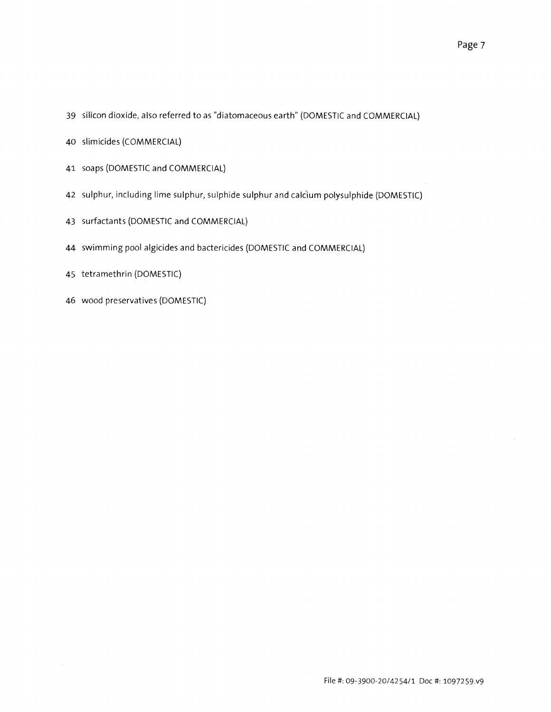- silicon dioxide, also referred to as "diatomaceous earth" (DOMESTIC and COMMERCIAL)
- slim icides (COMMERCIAL)
- soaps (DOMESTIC and COMMERCIAL)
- sulphur, including lime sulphur, sulphide sulphur and calcium polysulphide (DOMESTIC)
- surfactants (DOMESTIC and COMMERCIAL)
- swimming pool algicides and bactericides (DOMESTIC and COMMERCIAL)
- tetramethrin (DOMESTIC)
- wood preservatives (DOMESTIC)